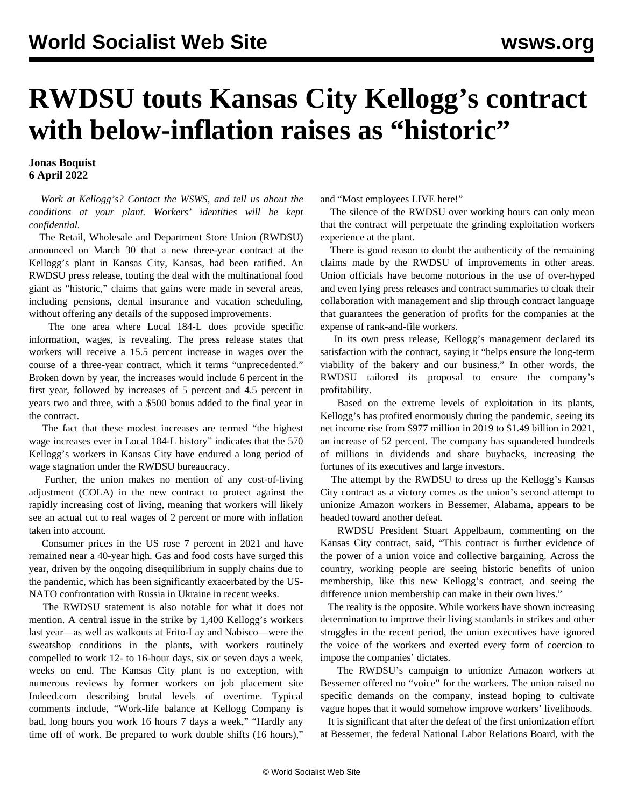## **RWDSU touts Kansas City Kellogg's contract with below-inflation raises as "historic"**

## **Jonas Boquist 6 April 2022**

 *Work at Kellogg's? [Contact the WSWS,](/en/special/pages/contact.html) and tell us about the conditions at your plant. Workers' identities will be kept confidential.*

 The Retail, Wholesale and Department Store Union (RWDSU) announced on March 30 that a new three-year contract at the Kellogg's plant in Kansas City, Kansas, had been ratified. An RWDSU press release, touting the deal with the multinational food giant as "historic," claims that gains were made in several areas, including pensions, dental insurance and vacation scheduling, without offering any details of the supposed improvements.

 The one area where Local 184-L does provide specific information, wages, is revealing. The press release states that workers will receive a 15.5 percent increase in wages over the course of a three-year contract, which it terms "unprecedented." Broken down by year, the increases would include 6 percent in the first year, followed by increases of 5 percent and 4.5 percent in years two and three, with a \$500 bonus added to the final year in the contract.

 The fact that these modest increases are termed "the highest wage increases ever in Local 184-L history" indicates that the 570 Kellogg's workers in Kansas City have endured a long period of wage stagnation under the RWDSU bureaucracy.

 Further, the union makes no mention of any cost-of-living adjustment (COLA) in the new contract to protect against the rapidly increasing cost of living, meaning that workers will likely see an actual cut to real wages of 2 percent or more with inflation taken into account.

 Consumer prices in the US rose 7 percent in 2021 and have remained near a 40-year high. Gas and food costs have surged this year, driven by the ongoing disequilibrium in supply chains due to the pandemic, which has been significantly exacerbated by the US-NATO confrontation with Russia in Ukraine in recent weeks.

 The RWDSU statement is also notable for what it does not mention. A central issue in the [strike by 1,400 Kellogg's workers](/en/articles/2021/10/25/kell-o25.html) last year—as well as walkouts at [Frito-Lay](/en/articles/2021/07/07/fri1-j07.html) and [Nabisco](/en/articles/2021/08/23/nabi-a23.html)—were the sweatshop conditions in the plants, with workers routinely compelled to work 12- to 16-hour days, six or seven days a week, weeks on end. The Kansas City plant is no exception, with numerous reviews by former workers on job placement site Indeed.com describing brutal levels of overtime. Typical comments include, "Work-life balance at Kellogg Company is bad, long hours you work 16 hours 7 days a week," "Hardly any time off of work. Be prepared to work double shifts (16 hours),"

and "Most employees LIVE here!"

 The silence of the RWDSU over working hours can only mean that the contract will perpetuate the grinding exploitation workers experience at the plant.

 There is good reason to doubt the authenticity of the remaining claims made by the RWDSU of improvements in other areas. Union officials have become notorious in the use of over-hyped and even lying press releases and contract summaries to cloak their collaboration with management and slip through contract language that guarantees the generation of profits for the companies at the expense of rank-and-file workers.

 In its own press release, Kellogg's management declared its satisfaction with the contract, saying it "helps ensure the long-term viability of the bakery and our business." In other words, the RWDSU tailored its proposal to ensure the company's profitability.

 Based on the extreme levels of exploitation in its plants, Kellogg's has profited enormously during the pandemic, seeing its net income rise from \$977 million in 2019 to \$1.49 billion in 2021, an increase of 52 percent. The company has squandered hundreds of millions in dividends and share buybacks, increasing the fortunes of its executives and large investors.

 The attempt by the RWDSU to dress up the Kellogg's Kansas City contract as a victory comes as the union's second attempt to unionize Amazon workers in Bessemer, Alabama, appears to be headed toward another defeat.

 RWDSU President Stuart Appelbaum, commenting on the Kansas City contract, said, "This contract is further evidence of the power of a union voice and collective bargaining. Across the country, working people are seeing historic benefits of union membership, like this new Kellogg's contract, and seeing the difference union membership can make in their own lives."

 The reality is the opposite. While workers have shown increasing determination to improve their living standards in strikes and other struggles in the recent period, the union executives have ignored the voice of the workers and exerted every form of coercion to impose the companies' dictates.

 The RWDSU's campaign to unionize Amazon workers at Bessemer offered no "voice" for the workers. The union raised no specific demands on the company, instead hoping to cultivate vague hopes that it would somehow improve workers' livelihoods.

 It is significant that after the defeat of the first unionization effort at Bessemer, the federal National Labor Relations Board, with the